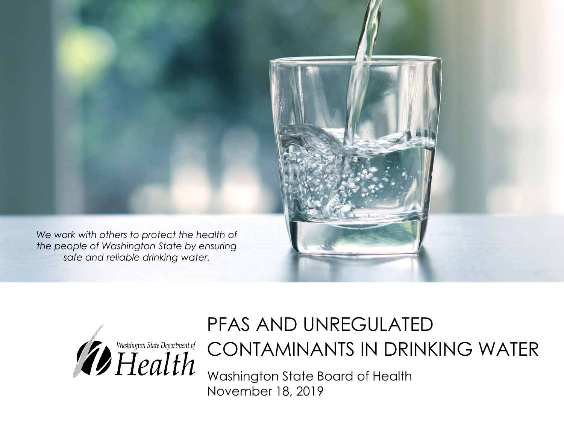



#### PFAS AND UNREGULATED

CONTAMINANTS IN DRINKING WATER

Washington State Board of Health November 18, 2019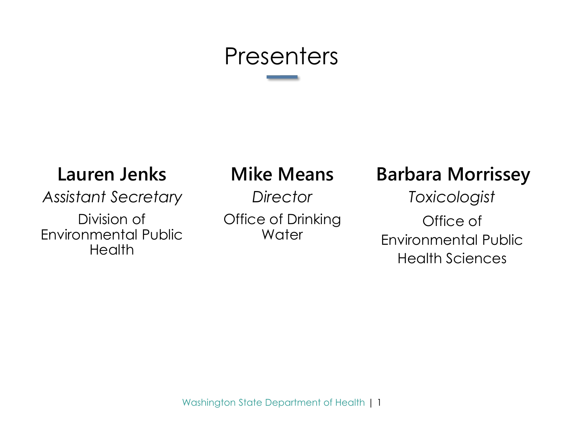# **Presenters**

#### **Lauren Jenks Mike Means**

*Assistant Secretary Director*

Division of Environmental Public **Health** 

Office of Drinking **Water** 

#### **Barbara Morrissey**

*Toxicologist* Office of Environmental Public Health Sciences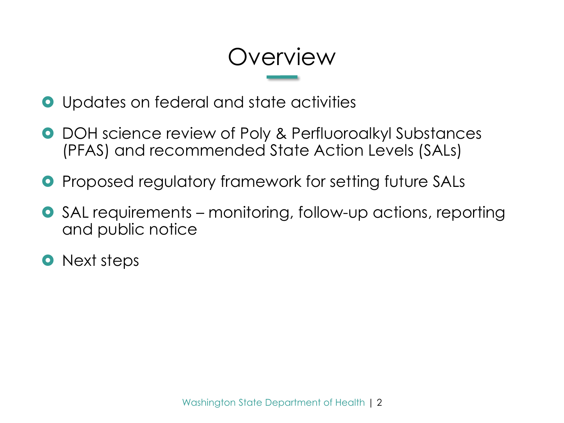# **Overview**

- Updates on federal and state activities
- DOH science review of Poly & Perfluoroalkyl Substances (PFAS) and recommended State Action Levels (SALs)
- **•** Proposed regulatory framework for setting future SALs
- SAL requirements monitoring, follow-up actions, reporting and public notice
- **O** Next steps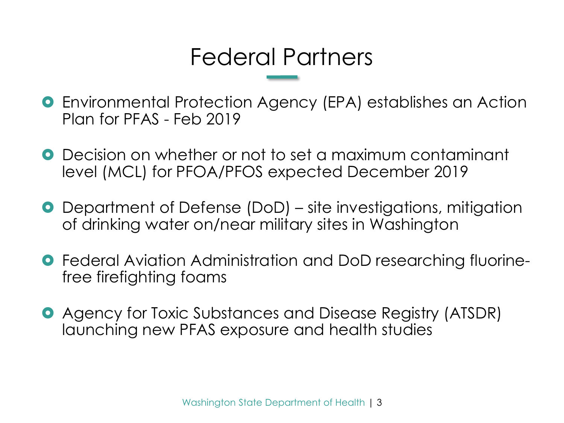# Federal Partners

- Environmental Protection Agency (EPA) establishes an Action Plan for PFAS - Feb 2019
- Decision on whether or not to set a maximum contaminant level (MCL) for PFOA/PFOS expected December 2019
- Department of Defense (DoD) site investigations, mitigation of drinking water on/near military sites in Washington
- **•** Federal Aviation Administration and DoD researching fluorinefree firefighting foams
- Agency for Toxic Substances and Disease Registry (ATSDR) launching new PFAS exposure and health studies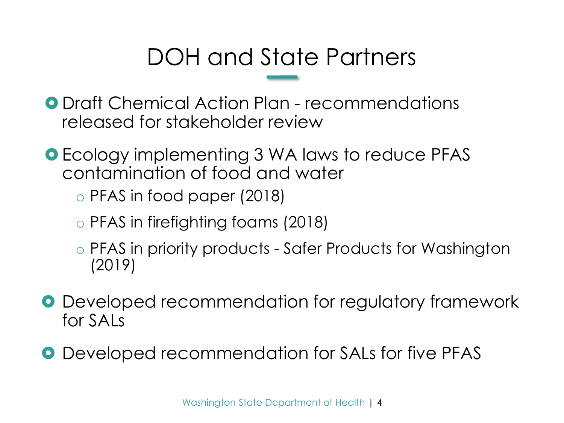# DOH and State Partners

**O** Draft Chemical Action Plan - recommendations released for stakeholder review

**O** Ecology implementing 3 WA laws to reduce PFAS contamination of food and water

o PFAS in food paper (2018)

- o PFAS in firefighting foams (2018)
- o PFAS in priority products Safer Products for Washington (2019)
- **O** Developed recommendation for regulatory framework for SALs
- **O** Developed recommendation for SALs for five PFAS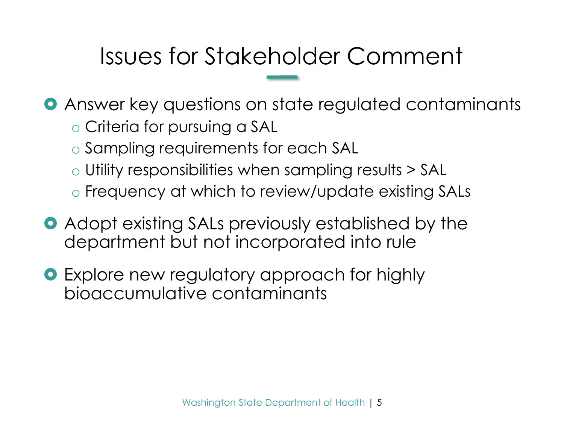# Issues for Stakeholder Comment

- Answer key questions on state regulated contaminants o Criteria for pursuing a SAL
	- o Sampling requirements for each SAL
	- o Utility responsibilities when sampling results > SAL
	- o Frequency at which to review/update existing SALs
- **Adopt existing SALs previously established by the** department but not incorporated into rule
- **•** Explore new regulatory approach for highly bioaccumulative contaminants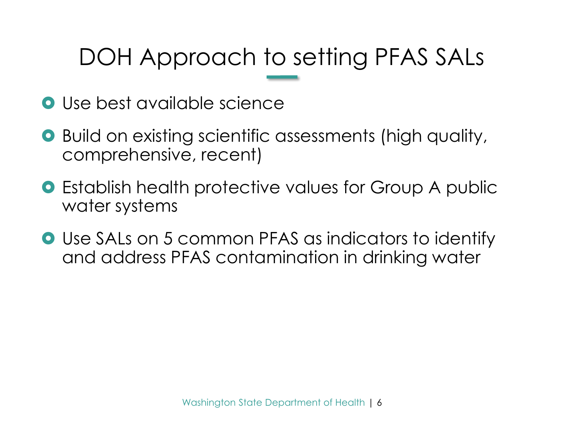# DOH Approach to setting PFAS SALs

- **O** Use best available science
- Build on existing scientific assessments (high quality, comprehensive, recent)
- Establish health protective values for Group A public water systems
- Use SALs on 5 common PFAS as indicators to identify and address PFAS contamination in drinking water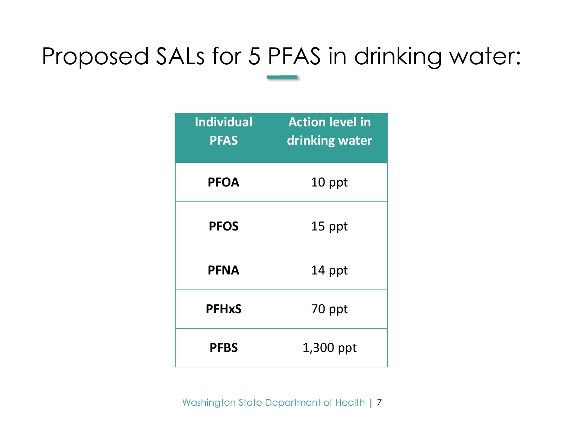# Proposed SALs for 5 PFAS in drinking water:

| <b>Individual</b><br><b>PFAS</b> | <b>Action level in</b><br>drinking water |
|----------------------------------|------------------------------------------|
| <b>PFOA</b>                      | 10 ppt                                   |
| <b>PFOS</b>                      | 15 ppt                                   |
| <b>PFNA</b>                      | 14 ppt                                   |
| <b>PFHxS</b>                     | 70 ppt                                   |
| <b>PFBS</b>                      | 1,300 ppt                                |

Washington State Department of Health | 7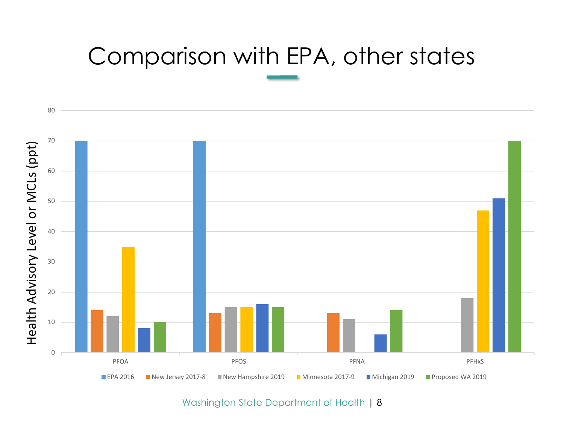# Comparison with EPA, other states



Washington State Department of Health | 8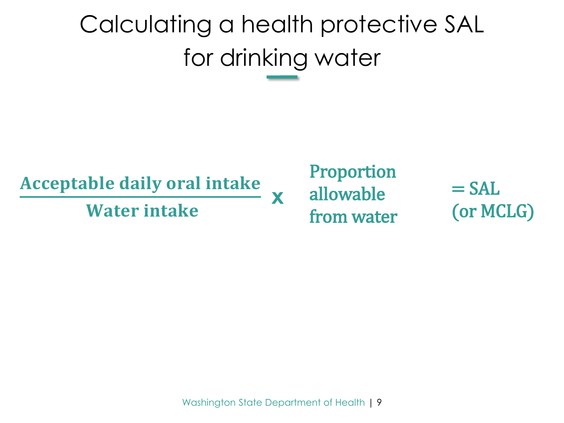# Calculating a health protective SAL for drinking water

#### **Acceptable daily oral intake**

**x** Water intake **x** 

#### Proportion allowable from water

 $=$  SAL (or MCLG)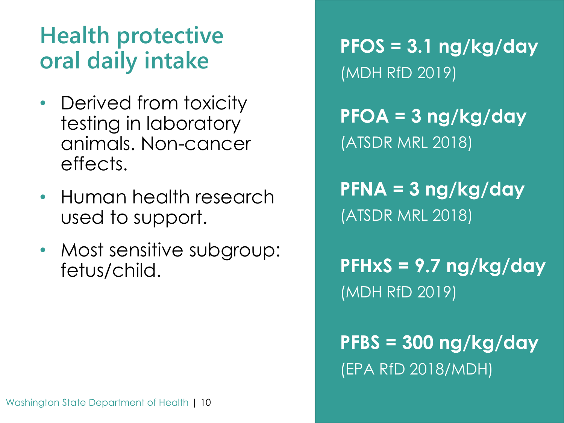# **Health protective**

- Derived from toxicity testing in laboratory animals. Non-cancer effects.
- Human health research used to support.
- Most sensitive subgroup: fetus/child.

**oral daily intake PFOS = 3.1 ng/kg/day** (MDH RfD 2019)

> **PFOA = 3 ng/kg/day** (ATSDR MRL 2018)

> **PFNA = 3 ng/kg/day**  (ATSDR MRL 2018)

**PFHxS = 9.7 ng/kg/day**  (MDH RfD 2019)

### **PFBS = 300 ng/kg/day**  (EPA RfD 2018/MDH)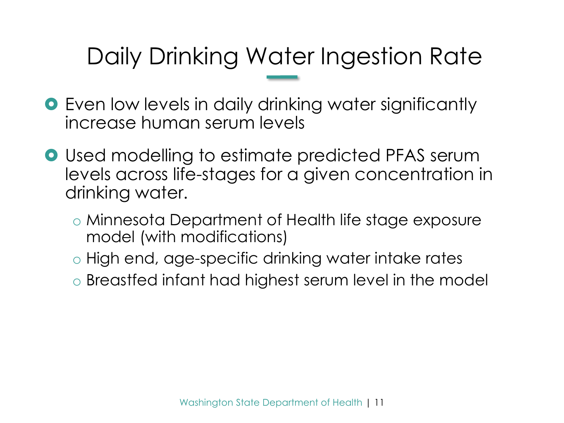# Daily Drinking Water Ingestion Rate

- Even low levels in daily drinking water significantly increase human serum levels
- **•** Used modelling to estimate predicted PFAS serum levels across life-stages for a given concentration in drinking water.
	- o Minnesota Department of Health life stage exposure model (with modifications)
	- o High end, age-specific drinking water intake rates
	- o Breastfed infant had highest serum level in the model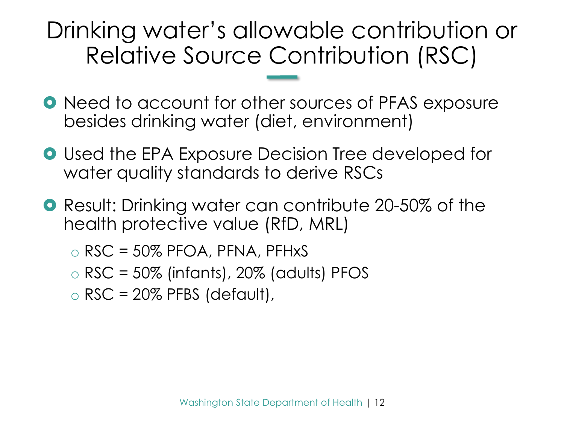# Drinking water's allowable contribution or Relative Source Contribution (RSC)

- **Need to account for other sources of PFAS exposure** besides drinking water (diet, environment)
- **Used the EPA Exposure Decision Tree developed for** water quality standards to derive RSCs
- **O** Result: Drinking water can contribute 20-50% of the health protective value (RfD, MRL)
	- $\circ$  RSC = 50% PFOA, PFNA, PFHxS
	- $\circ$  RSC = 50% (infants), 20% (adults) PFOS
	- $\circ$  RSC = 20% PFBS (default),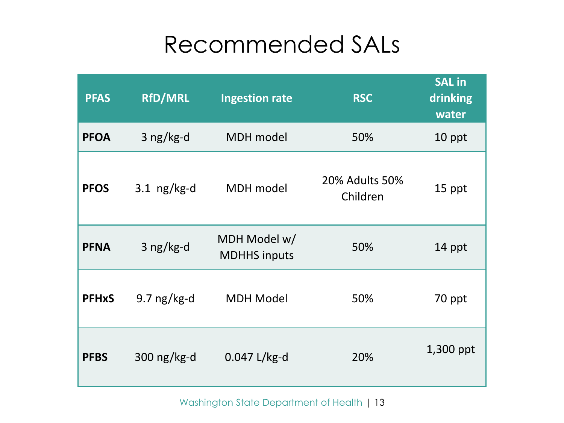# Recommended SALs

| <b>PFAS</b>  | <b>RfD/MRL</b> | <b>Ingestion rate</b>               | <b>RSC</b>                 | <b>SAL in</b><br>drinking<br>water |
|--------------|----------------|-------------------------------------|----------------------------|------------------------------------|
| <b>PFOA</b>  | $3$ ng/kg-d    | <b>MDH</b> model                    | 50%                        | 10 ppt                             |
| <b>PFOS</b>  | 3.1 $ng/kg-d$  | <b>MDH</b> model                    | 20% Adults 50%<br>Children | 15 ppt                             |
| <b>PFNA</b>  | 3 ng/kg-d      | MDH Model w/<br><b>MDHHS inputs</b> | 50%                        | 14 ppt                             |
| <b>PFHxS</b> | $9.7$ ng/kg-d  | <b>MDH Model</b>                    | 50%                        | 70 ppt                             |
| <b>PFBS</b>  | 300 $ng/kg-d$  | $0.047$ L/kg-d                      | 20%                        | 1,300 ppt                          |

Washington State Department of Health | 13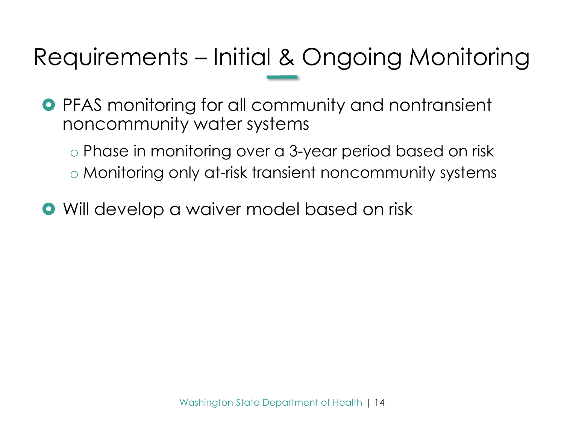# Requirements – Initial & Ongoing Monitoring

- **•** PFAS monitoring for all community and nontransient noncommunity water systems
	- o Phase in monitoring over a 3-year period based on risk o Monitoring only at-risk transient noncommunity systems
- Will develop a waiver model based on risk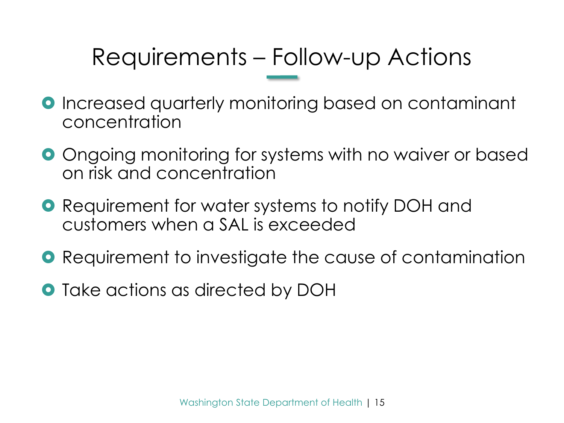# Requirements – Follow-up Actions

- **O** Increased quarterly monitoring based on contaminant concentration
- **O** Ongoing monitoring for systems with no waiver or based on risk and concentration
- **O** Requirement for water systems to notify DOH and customers when a SAL is exceeded
- **•** Requirement to investigate the cause of contamination
- **•** Take actions as directed by DOH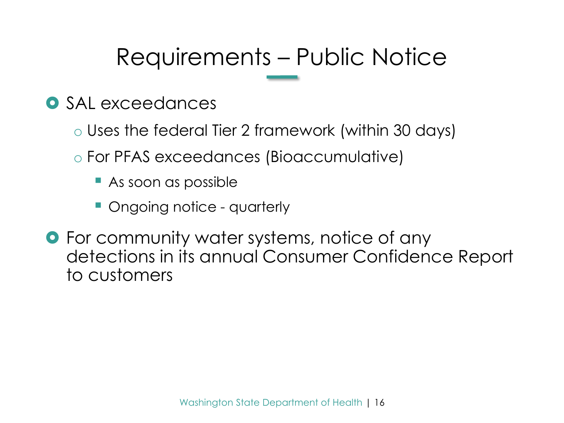# Requirements – Public Notice

- **O** SAL exceedances
	- o Uses the federal Tier 2 framework (within 30 days)
	- o For PFAS exceedances (Bioaccumulative)
		- As soon as possible
		- Ongoing notice quarterly
- **•** For community water systems, notice of any detections in its annual Consumer Confidence Report to customers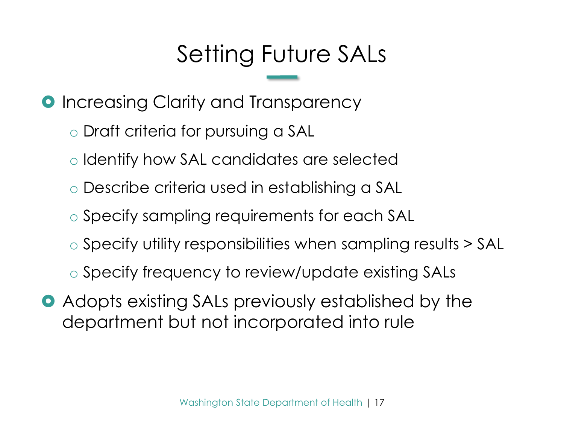# Setting Future SALs

**O** Increasing Clarity and Transparency

o Draft criteria for pursuing a SAL

- o Identify how SAL candidates are selected
- o Describe criteria used in establishing a SAL
- o Specify sampling requirements for each SAL
- o Specify utility responsibilities when sampling results > SAL
- o Specify frequency to review/update existing SALs
- Adopts existing SALs previously established by the department but not incorporated into rule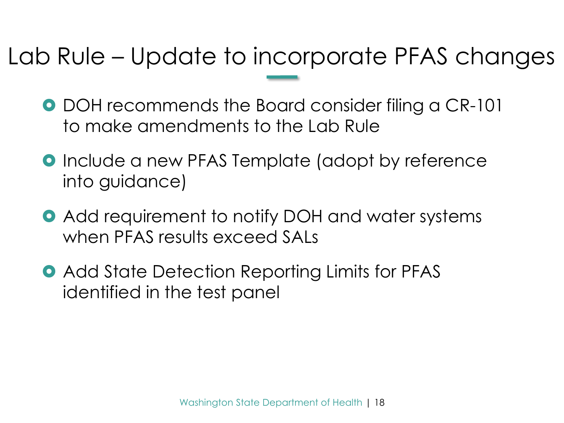# Lab Rule – Update to incorporate PFAS changes

- **DOH recommends the Board consider filing a CR-101** to make amendments to the Lab Rule
- **O** Include a new PFAS Template (adopt by reference into guidance)
- Add requirement to notify DOH and water systems when PFAS results exceed SALs
- **Add State Detection Reporting Limits for PFAS** identified in the test panel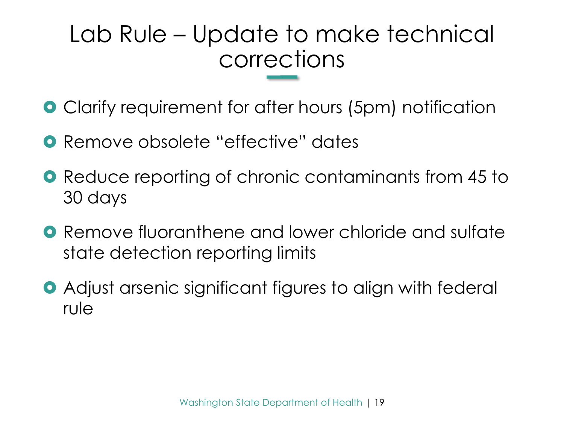# Lab Rule – Update to make technical corrections

- Clarify requirement for after hours (5pm) notification
- **O** Remove obsolete "effective" dates
- **Reduce reporting of chronic contaminants from 45 to** 30 days
- **O** Remove fluoranthene and lower chloride and sulfate state detection reporting limits
- Adjust arsenic significant figures to align with federal rule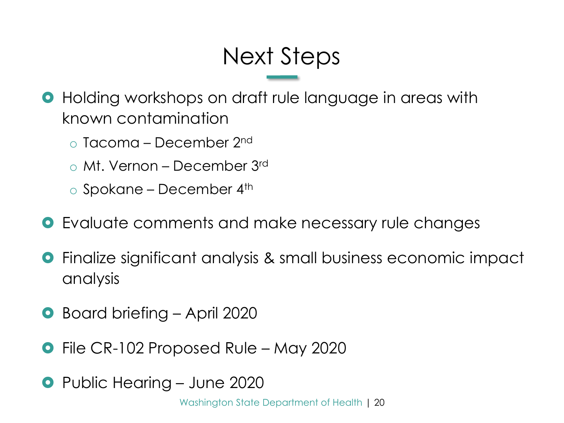# Next Steps

**•** Holding workshops on draft rule language in areas with known contamination

- $\circ$  Tacoma December 2<sup>nd</sup>
- o Mt. Vernon December 3rd

 $\circ$  Spokane – December 4<sup>th</sup>

- **O** Evaluate comments and make necessary rule changes
- Finalize significant analysis & small business economic impact analysis
- Board briefing April 2020
- File CR-102 Proposed Rule May 2020
- **•** Public Hearing June 2020

Washington State Department of Health | 20